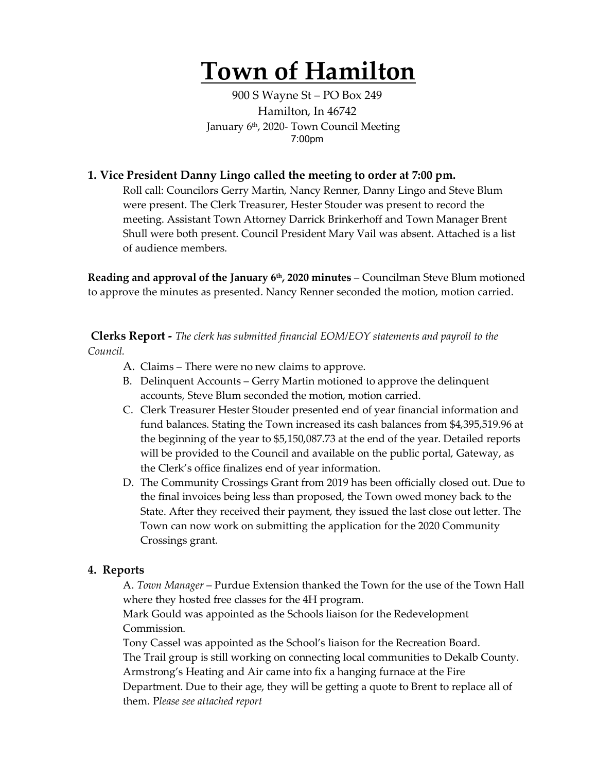# **Town of Hamilton**

900 S Wayne St – PO Box 249 Hamilton, In 46742 January 6th, 2020- Town Council Meeting 7:00pm

### **1. Vice President Danny Lingo called the meeting to order at 7:00 pm.**

Roll call: Councilors Gerry Martin, Nancy Renner, Danny Lingo and Steve Blum were present. The Clerk Treasurer, Hester Stouder was present to record the meeting. Assistant Town Attorney Darrick Brinkerhoff and Town Manager Brent Shull were both present. Council President Mary Vail was absent. Attached is a list of audience members.

**Reading and approval of the January 6th, 2020 minutes** – Councilman Steve Blum motioned to approve the minutes as presented. Nancy Renner seconded the motion, motion carried.

**Clerks Report -** *The clerk has submitted financial EOM/EOY statements and payroll to the Council.* 

- A. Claims There were no new claims to approve.
- B. Delinquent Accounts Gerry Martin motioned to approve the delinquent accounts, Steve Blum seconded the motion, motion carried.
- C. Clerk Treasurer Hester Stouder presented end of year financial information and fund balances. Stating the Town increased its cash balances from \$4,395,519.96 at the beginning of the year to \$5,150,087.73 at the end of the year. Detailed reports will be provided to the Council and available on the public portal, Gateway, as the Clerk's office finalizes end of year information.
- D. The Community Crossings Grant from 2019 has been officially closed out. Due to the final invoices being less than proposed, the Town owed money back to the State. After they received their payment, they issued the last close out letter. The Town can now work on submitting the application for the 2020 Community Crossings grant.

# **4. Reports**

A. *Town Manager* – Purdue Extension thanked the Town for the use of the Town Hall where they hosted free classes for the 4H program.

Mark Gould was appointed as the Schools liaison for the Redevelopment Commission.

Tony Cassel was appointed as the School's liaison for the Recreation Board. The Trail group is still working on connecting local communities to Dekalb County. Armstrong's Heating and Air came into fix a hanging furnace at the Fire Department. Due to their age, they will be getting a quote to Brent to replace all of them. P*lease see attached report*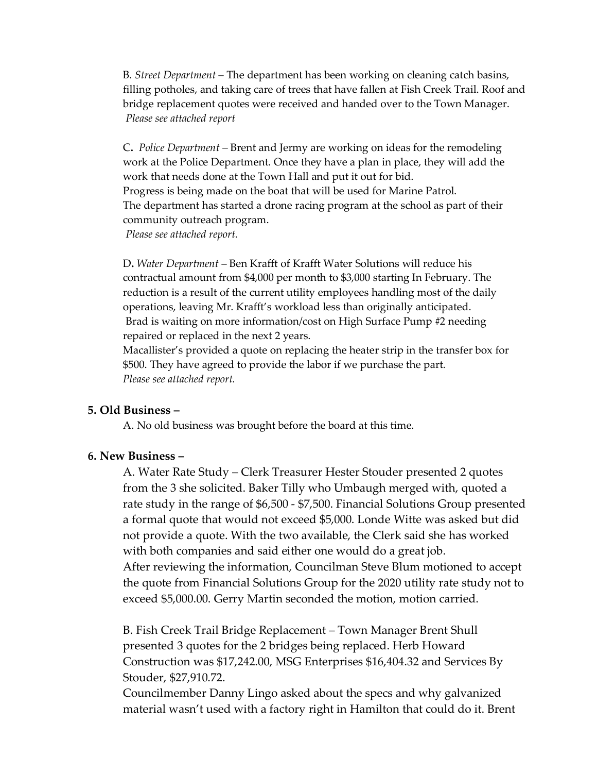B*. Street Department* – The department has been working on cleaning catch basins, filling potholes, and taking care of trees that have fallen at Fish Creek Trail. Roof and bridge replacement quotes were received and handed over to the Town Manager. *Please see attached report*

C**.** *Police Department –* Brent and Jermy are working on ideas for the remodeling work at the Police Department. Once they have a plan in place, they will add the work that needs done at the Town Hall and put it out for bid. Progress is being made on the boat that will be used for Marine Patrol. The department has started a drone racing program at the school as part of their community outreach program. *Please see attached report.*

D**.** *Water Department* – Ben Krafft of Krafft Water Solutions will reduce his contractual amount from \$4,000 per month to \$3,000 starting In February. The reduction is a result of the current utility employees handling most of the daily operations, leaving Mr. Krafft's workload less than originally anticipated. Brad is waiting on more information/cost on High Surface Pump #2 needing repaired or replaced in the next 2 years.

Macallister's provided a quote on replacing the heater strip in the transfer box for \$500. They have agreed to provide the labor if we purchase the part. *Please see attached report.* 

#### **5. Old Business –**

A. No old business was brought before the board at this time.

# **6. New Business –**

A. Water Rate Study – Clerk Treasurer Hester Stouder presented 2 quotes from the 3 she solicited. Baker Tilly who Umbaugh merged with, quoted a rate study in the range of \$6,500 - \$7,500. Financial Solutions Group presented a formal quote that would not exceed \$5,000. Londe Witte was asked but did not provide a quote. With the two available, the Clerk said she has worked with both companies and said either one would do a great job. After reviewing the information, Councilman Steve Blum motioned to accept the quote from Financial Solutions Group for the 2020 utility rate study not to exceed \$5,000.00. Gerry Martin seconded the motion, motion carried.

B. Fish Creek Trail Bridge Replacement – Town Manager Brent Shull presented 3 quotes for the 2 bridges being replaced. Herb Howard Construction was \$17,242.00, MSG Enterprises \$16,404.32 and Services By Stouder, \$27,910.72.

Councilmember Danny Lingo asked about the specs and why galvanized material wasn't used with a factory right in Hamilton that could do it. Brent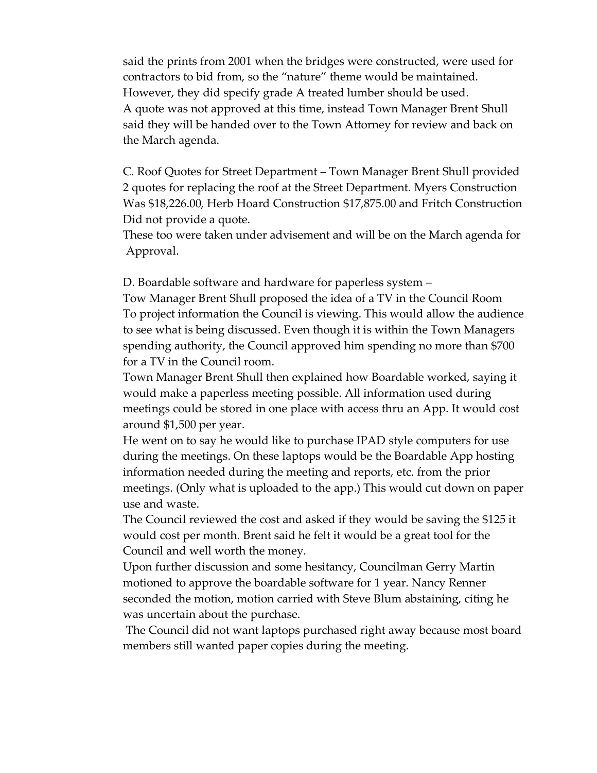said the prints from 2001 when the bridges were constructed, were used for contractors to bid from, so the "nature" theme would be maintained. However, they did specify grade A treated lumber should be used. A quote was not approved at this time, instead Town Manager Brent Shull said they will be handed over to the Town Attorney for review and back on the March agenda.

C. Roof Quotes for Street Department – Town Manager Brent Shull provided 2 quotes for replacing the roof at the Street Department. Myers Construction Was \$18,226.00, Herb Hoard Construction \$17,875.00 and Fritch Construction Did not provide a quote.

These too were taken under advisement and will be on the March agenda for Approval.

D. Boardable software and hardware for paperless system –

Tow Manager Brent Shull proposed the idea of a TV in the Council Room To project information the Council is viewing. This would allow the audience to see what is being discussed. Even though it is within the Town Managers spending authority, the Council approved him spending no more than \$700 for a TV in the Council room.

Town Manager Brent Shull then explained how Boardable worked, saying it would make a paperless meeting possible. All information used during meetings could be stored in one place with access thru an App. It would cost around \$1,500 per year.

He went on to say he would like to purchase IPAD style computers for use during the meetings. On these laptops would be the Boardable App hosting information needed during the meeting and reports, etc. from the prior meetings. (Only what is uploaded to the app.) This would cut down on paper use and waste.

The Council reviewed the cost and asked if they would be saving the \$125 it would cost per month. Brent said he felt it would be a great tool for the Council and well worth the money.

Upon further discussion and some hesitancy, Councilman Gerry Martin motioned to approve the boardable software for 1 year. Nancy Renner seconded the motion, motion carried with Steve Blum abstaining, citing he was uncertain about the purchase.

The Council did not want laptops purchased right away because most board members still wanted paper copies during the meeting.